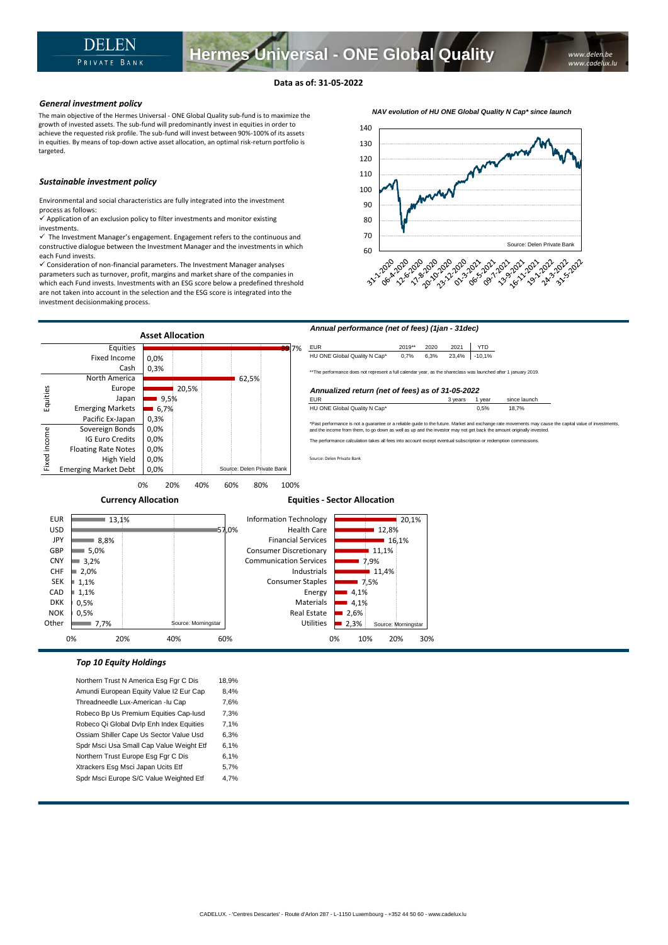**Hermes Universal - ONE Global Quality**

The main objective of the Hermes Universal - ONE Global Quality sub-fund is to maximize the growth of invested assets. The sub-fund will predominantly invest in equities in order to achieve the requested risk profile. The sub-fund will invest between 90%-100% of its assets in equities. By means of top-down active asset allocation, an optimal risk-return portfolio is targeted.

## *Sustainable investment policy*

Environmental and social characteristics are fully integrated into the investment process as follows:

 $\checkmark$  Application of an exclusion policy to filter investments and monitor existing investments.

 $\checkmark$  The Investment Manager's engagement. Engagement refers to the continuous and constructive dialogue between the Investment Manager and the investments in which each Fund invests.

✓ Consideration of non-financial parameters. The Investment Manager analyses parameters such as turnover, profit, margins and market share of the companies in which each Fund invests. Investments with an ESG score below a predefined threshold are not taken into account in the selection and the ESG score is integrated into the investment decisionmaking process.





0% 10% 20% 30%

## *Top 10 Equity Holdings*

Northern Trust N America Esg Fgr C Dis 18,9% Amundi European Equity Value I2 Eur Cap 8,4% Threadneedle Lux-American -lu Cap 7,6% Robeco Bp Us Premium Equities Cap-Iusd 7,3% Robeco Qi Global Dvlp Enh Index Equities 7,1% Ossiam Shiller Cape Us Sector Value Usd 6,3% Spdr Msci Usa Small Cap Value Weight Etf 6,1% Northern Trust Europe Esg Fgr C Dis 6,1% Xtrackers Esg Msci Japan Ucits Etf 5,7% Spdr Msci Europe S/C Value Weighted Etf 4,7%

0% 20% 40% 60%

*NAV evolution of HU ONE Global Quality N Cap\* since launch*

*www.delen.be www.cadelux.lu*